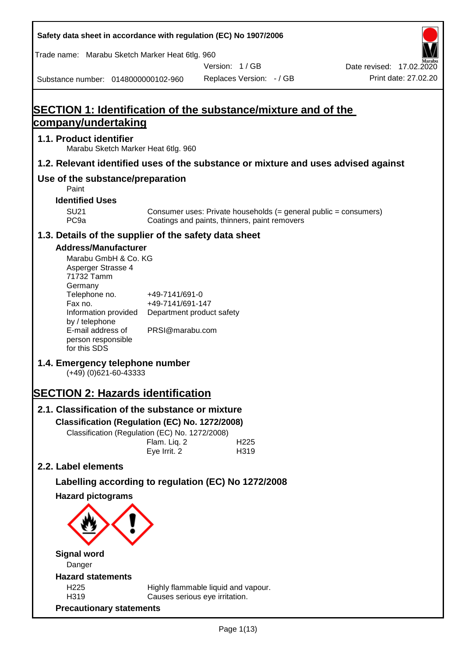**Safety data sheet in accordance with regulation (EC) No 1907/2006** Substance number: 0148000000102-960 Version: 1 / GB Replaces Version: - / GB Print date: 27.02.20 Date revised: 17.02.2020 Trade name: Marabu Sketch Marker Heat 6tlg. 960 **SECTION 1: Identification of the substance/mixture and of the company/undertaking 1.1. Product identifier** Marabu Sketch Marker Heat 6tlg. 960 **1.2. Relevant identified uses of the substance or mixture and uses advised against Use of the substance/preparation** Paint **Identified Uses** SU21 Consumer uses: Private households (= general public = consumers)<br>PC9a Coatings and paints, thinners, paint removers Coatings and paints, thinners, paint removers **1.3. Details of the supplier of the safety data sheet Address/Manufacturer** Marabu GmbH & Co. KG Asperger Strasse 4 71732 Tamm **Germany** Telephone no. +49-7141/691-0 Fax no.  $+49-7141/691-147$ Information provided Department product safety by / telephone E-mail address of person responsible for this SDS PRSI@marabu.com **1.4. Emergency telephone number** (+49) (0)621-60-43333 **SECTION 2: Hazards identification 2.1. Classification of the substance or mixture Classification (Regulation (EC) No. 1272/2008)** Classification (Regulation (EC) No. 1272/2008) Flam. Liq. 2 H225 Eye Irrit. 2 H319 **2.2. Label elements Labelling according to regulation (EC) No 1272/2008 Hazard pictograms Signal word** Danger **Hazard statements** H225 Highly flammable liquid and vapour. H319 Causes serious eye irritation. **Precautionary statements**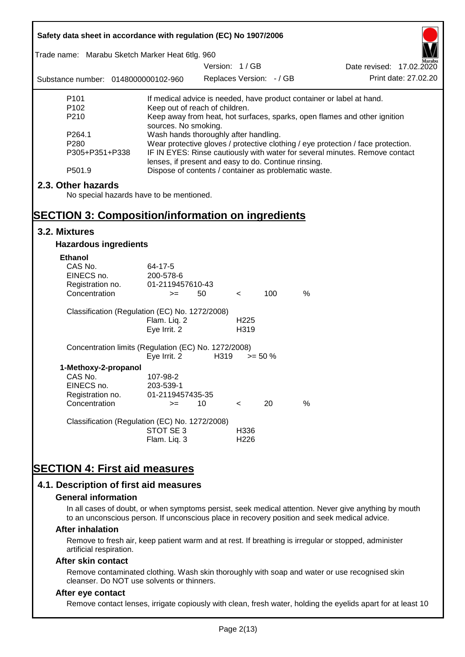| Trade name: Marabu Sketch Marker Heat 6tlg. 960<br>Version: 1/GB<br>Date revised: 17.02.2020<br>Print date: 27.02.20<br>Replaces Version: - / GB<br>Substance number: 0148000000102-960<br>P <sub>101</sub><br>If medical advice is needed, have product container or label at hand.<br>P <sub>102</sub><br>Keep out of reach of children.<br>P210<br>Keep away from heat, hot surfaces, sparks, open flames and other ignition<br>sources. No smoking.<br>Wash hands thoroughly after handling.<br>P264.1<br>P280<br>Wear protective gloves / protective clothing / eye protection / face protection.<br>IF IN EYES: Rinse cautiously with water for several minutes. Remove contact<br>P305+P351+P338<br>lenses, if present and easy to do. Continue rinsing.<br>Dispose of contents / container as problematic waste.<br>P501.9<br>2.3. Other hazards<br>No special hazards have to be mentioned.<br><b>SECTION 3: Composition/information on ingredients</b><br>3.2. Mixtures<br><b>Hazardous ingredients</b><br><b>Ethanol</b><br>CAS No.<br>64-17-5<br>EINECS no.<br>200-578-6<br>Registration no.<br>01-2119457610-43<br>100<br>%<br>Concentration<br>50<br>$>=$<br>$\lt$<br>Classification (Regulation (EC) No. 1272/2008)<br>Flam. Liq. 2<br>H <sub>225</sub><br>Eye Irrit. 2<br>H319<br>Concentration limits (Regulation (EC) No. 1272/2008)<br>Eye Irrit. 2<br>H319<br>$>= 50 \%$<br>1-Methoxy-2-propanol<br>CAS No.<br>107-98-2<br>EINECS no.<br>203-539-1<br>Registration no.<br>01-2119457435-35<br>%<br>Concentration<br>20<br>10<br>$>=$<br>$\,<\,$<br>Classification (Regulation (EC) No. 1272/2008)<br>STOT SE 3<br>H336<br>Flam. Liq. 3<br>H <sub>226</sub><br><b>SECTION 4: First aid measures</b> | Safety data sheet in accordance with regulation (EC) No 1907/2006 |  |  |  |  |  |  |
|------------------------------------------------------------------------------------------------------------------------------------------------------------------------------------------------------------------------------------------------------------------------------------------------------------------------------------------------------------------------------------------------------------------------------------------------------------------------------------------------------------------------------------------------------------------------------------------------------------------------------------------------------------------------------------------------------------------------------------------------------------------------------------------------------------------------------------------------------------------------------------------------------------------------------------------------------------------------------------------------------------------------------------------------------------------------------------------------------------------------------------------------------------------------------------------------------------------------------------------------------------------------------------------------------------------------------------------------------------------------------------------------------------------------------------------------------------------------------------------------------------------------------------------------------------------------------------------------------------------------------------------------------------------------------------------------------------------------|-------------------------------------------------------------------|--|--|--|--|--|--|
|                                                                                                                                                                                                                                                                                                                                                                                                                                                                                                                                                                                                                                                                                                                                                                                                                                                                                                                                                                                                                                                                                                                                                                                                                                                                                                                                                                                                                                                                                                                                                                                                                                                                                                                        |                                                                   |  |  |  |  |  |  |
|                                                                                                                                                                                                                                                                                                                                                                                                                                                                                                                                                                                                                                                                                                                                                                                                                                                                                                                                                                                                                                                                                                                                                                                                                                                                                                                                                                                                                                                                                                                                                                                                                                                                                                                        |                                                                   |  |  |  |  |  |  |
|                                                                                                                                                                                                                                                                                                                                                                                                                                                                                                                                                                                                                                                                                                                                                                                                                                                                                                                                                                                                                                                                                                                                                                                                                                                                                                                                                                                                                                                                                                                                                                                                                                                                                                                        |                                                                   |  |  |  |  |  |  |
|                                                                                                                                                                                                                                                                                                                                                                                                                                                                                                                                                                                                                                                                                                                                                                                                                                                                                                                                                                                                                                                                                                                                                                                                                                                                                                                                                                                                                                                                                                                                                                                                                                                                                                                        |                                                                   |  |  |  |  |  |  |
|                                                                                                                                                                                                                                                                                                                                                                                                                                                                                                                                                                                                                                                                                                                                                                                                                                                                                                                                                                                                                                                                                                                                                                                                                                                                                                                                                                                                                                                                                                                                                                                                                                                                                                                        |                                                                   |  |  |  |  |  |  |
|                                                                                                                                                                                                                                                                                                                                                                                                                                                                                                                                                                                                                                                                                                                                                                                                                                                                                                                                                                                                                                                                                                                                                                                                                                                                                                                                                                                                                                                                                                                                                                                                                                                                                                                        |                                                                   |  |  |  |  |  |  |
|                                                                                                                                                                                                                                                                                                                                                                                                                                                                                                                                                                                                                                                                                                                                                                                                                                                                                                                                                                                                                                                                                                                                                                                                                                                                                                                                                                                                                                                                                                                                                                                                                                                                                                                        |                                                                   |  |  |  |  |  |  |
|                                                                                                                                                                                                                                                                                                                                                                                                                                                                                                                                                                                                                                                                                                                                                                                                                                                                                                                                                                                                                                                                                                                                                                                                                                                                                                                                                                                                                                                                                                                                                                                                                                                                                                                        |                                                                   |  |  |  |  |  |  |
|                                                                                                                                                                                                                                                                                                                                                                                                                                                                                                                                                                                                                                                                                                                                                                                                                                                                                                                                                                                                                                                                                                                                                                                                                                                                                                                                                                                                                                                                                                                                                                                                                                                                                                                        |                                                                   |  |  |  |  |  |  |
|                                                                                                                                                                                                                                                                                                                                                                                                                                                                                                                                                                                                                                                                                                                                                                                                                                                                                                                                                                                                                                                                                                                                                                                                                                                                                                                                                                                                                                                                                                                                                                                                                                                                                                                        |                                                                   |  |  |  |  |  |  |
|                                                                                                                                                                                                                                                                                                                                                                                                                                                                                                                                                                                                                                                                                                                                                                                                                                                                                                                                                                                                                                                                                                                                                                                                                                                                                                                                                                                                                                                                                                                                                                                                                                                                                                                        |                                                                   |  |  |  |  |  |  |
|                                                                                                                                                                                                                                                                                                                                                                                                                                                                                                                                                                                                                                                                                                                                                                                                                                                                                                                                                                                                                                                                                                                                                                                                                                                                                                                                                                                                                                                                                                                                                                                                                                                                                                                        |                                                                   |  |  |  |  |  |  |
|                                                                                                                                                                                                                                                                                                                                                                                                                                                                                                                                                                                                                                                                                                                                                                                                                                                                                                                                                                                                                                                                                                                                                                                                                                                                                                                                                                                                                                                                                                                                                                                                                                                                                                                        |                                                                   |  |  |  |  |  |  |
|                                                                                                                                                                                                                                                                                                                                                                                                                                                                                                                                                                                                                                                                                                                                                                                                                                                                                                                                                                                                                                                                                                                                                                                                                                                                                                                                                                                                                                                                                                                                                                                                                                                                                                                        |                                                                   |  |  |  |  |  |  |
|                                                                                                                                                                                                                                                                                                                                                                                                                                                                                                                                                                                                                                                                                                                                                                                                                                                                                                                                                                                                                                                                                                                                                                                                                                                                                                                                                                                                                                                                                                                                                                                                                                                                                                                        |                                                                   |  |  |  |  |  |  |
|                                                                                                                                                                                                                                                                                                                                                                                                                                                                                                                                                                                                                                                                                                                                                                                                                                                                                                                                                                                                                                                                                                                                                                                                                                                                                                                                                                                                                                                                                                                                                                                                                                                                                                                        |                                                                   |  |  |  |  |  |  |
|                                                                                                                                                                                                                                                                                                                                                                                                                                                                                                                                                                                                                                                                                                                                                                                                                                                                                                                                                                                                                                                                                                                                                                                                                                                                                                                                                                                                                                                                                                                                                                                                                                                                                                                        |                                                                   |  |  |  |  |  |  |
|                                                                                                                                                                                                                                                                                                                                                                                                                                                                                                                                                                                                                                                                                                                                                                                                                                                                                                                                                                                                                                                                                                                                                                                                                                                                                                                                                                                                                                                                                                                                                                                                                                                                                                                        |                                                                   |  |  |  |  |  |  |
|                                                                                                                                                                                                                                                                                                                                                                                                                                                                                                                                                                                                                                                                                                                                                                                                                                                                                                                                                                                                                                                                                                                                                                                                                                                                                                                                                                                                                                                                                                                                                                                                                                                                                                                        |                                                                   |  |  |  |  |  |  |
|                                                                                                                                                                                                                                                                                                                                                                                                                                                                                                                                                                                                                                                                                                                                                                                                                                                                                                                                                                                                                                                                                                                                                                                                                                                                                                                                                                                                                                                                                                                                                                                                                                                                                                                        |                                                                   |  |  |  |  |  |  |
|                                                                                                                                                                                                                                                                                                                                                                                                                                                                                                                                                                                                                                                                                                                                                                                                                                                                                                                                                                                                                                                                                                                                                                                                                                                                                                                                                                                                                                                                                                                                                                                                                                                                                                                        |                                                                   |  |  |  |  |  |  |
|                                                                                                                                                                                                                                                                                                                                                                                                                                                                                                                                                                                                                                                                                                                                                                                                                                                                                                                                                                                                                                                                                                                                                                                                                                                                                                                                                                                                                                                                                                                                                                                                                                                                                                                        |                                                                   |  |  |  |  |  |  |
|                                                                                                                                                                                                                                                                                                                                                                                                                                                                                                                                                                                                                                                                                                                                                                                                                                                                                                                                                                                                                                                                                                                                                                                                                                                                                                                                                                                                                                                                                                                                                                                                                                                                                                                        |                                                                   |  |  |  |  |  |  |
|                                                                                                                                                                                                                                                                                                                                                                                                                                                                                                                                                                                                                                                                                                                                                                                                                                                                                                                                                                                                                                                                                                                                                                                                                                                                                                                                                                                                                                                                                                                                                                                                                                                                                                                        |                                                                   |  |  |  |  |  |  |
|                                                                                                                                                                                                                                                                                                                                                                                                                                                                                                                                                                                                                                                                                                                                                                                                                                                                                                                                                                                                                                                                                                                                                                                                                                                                                                                                                                                                                                                                                                                                                                                                                                                                                                                        |                                                                   |  |  |  |  |  |  |
|                                                                                                                                                                                                                                                                                                                                                                                                                                                                                                                                                                                                                                                                                                                                                                                                                                                                                                                                                                                                                                                                                                                                                                                                                                                                                                                                                                                                                                                                                                                                                                                                                                                                                                                        |                                                                   |  |  |  |  |  |  |
|                                                                                                                                                                                                                                                                                                                                                                                                                                                                                                                                                                                                                                                                                                                                                                                                                                                                                                                                                                                                                                                                                                                                                                                                                                                                                                                                                                                                                                                                                                                                                                                                                                                                                                                        |                                                                   |  |  |  |  |  |  |
|                                                                                                                                                                                                                                                                                                                                                                                                                                                                                                                                                                                                                                                                                                                                                                                                                                                                                                                                                                                                                                                                                                                                                                                                                                                                                                                                                                                                                                                                                                                                                                                                                                                                                                                        |                                                                   |  |  |  |  |  |  |
|                                                                                                                                                                                                                                                                                                                                                                                                                                                                                                                                                                                                                                                                                                                                                                                                                                                                                                                                                                                                                                                                                                                                                                                                                                                                                                                                                                                                                                                                                                                                                                                                                                                                                                                        |                                                                   |  |  |  |  |  |  |
|                                                                                                                                                                                                                                                                                                                                                                                                                                                                                                                                                                                                                                                                                                                                                                                                                                                                                                                                                                                                                                                                                                                                                                                                                                                                                                                                                                                                                                                                                                                                                                                                                                                                                                                        |                                                                   |  |  |  |  |  |  |
|                                                                                                                                                                                                                                                                                                                                                                                                                                                                                                                                                                                                                                                                                                                                                                                                                                                                                                                                                                                                                                                                                                                                                                                                                                                                                                                                                                                                                                                                                                                                                                                                                                                                                                                        |                                                                   |  |  |  |  |  |  |
|                                                                                                                                                                                                                                                                                                                                                                                                                                                                                                                                                                                                                                                                                                                                                                                                                                                                                                                                                                                                                                                                                                                                                                                                                                                                                                                                                                                                                                                                                                                                                                                                                                                                                                                        |                                                                   |  |  |  |  |  |  |
|                                                                                                                                                                                                                                                                                                                                                                                                                                                                                                                                                                                                                                                                                                                                                                                                                                                                                                                                                                                                                                                                                                                                                                                                                                                                                                                                                                                                                                                                                                                                                                                                                                                                                                                        |                                                                   |  |  |  |  |  |  |
|                                                                                                                                                                                                                                                                                                                                                                                                                                                                                                                                                                                                                                                                                                                                                                                                                                                                                                                                                                                                                                                                                                                                                                                                                                                                                                                                                                                                                                                                                                                                                                                                                                                                                                                        |                                                                   |  |  |  |  |  |  |
|                                                                                                                                                                                                                                                                                                                                                                                                                                                                                                                                                                                                                                                                                                                                                                                                                                                                                                                                                                                                                                                                                                                                                                                                                                                                                                                                                                                                                                                                                                                                                                                                                                                                                                                        |                                                                   |  |  |  |  |  |  |
|                                                                                                                                                                                                                                                                                                                                                                                                                                                                                                                                                                                                                                                                                                                                                                                                                                                                                                                                                                                                                                                                                                                                                                                                                                                                                                                                                                                                                                                                                                                                                                                                                                                                                                                        |                                                                   |  |  |  |  |  |  |
|                                                                                                                                                                                                                                                                                                                                                                                                                                                                                                                                                                                                                                                                                                                                                                                                                                                                                                                                                                                                                                                                                                                                                                                                                                                                                                                                                                                                                                                                                                                                                                                                                                                                                                                        |                                                                   |  |  |  |  |  |  |
|                                                                                                                                                                                                                                                                                                                                                                                                                                                                                                                                                                                                                                                                                                                                                                                                                                                                                                                                                                                                                                                                                                                                                                                                                                                                                                                                                                                                                                                                                                                                                                                                                                                                                                                        |                                                                   |  |  |  |  |  |  |
|                                                                                                                                                                                                                                                                                                                                                                                                                                                                                                                                                                                                                                                                                                                                                                                                                                                                                                                                                                                                                                                                                                                                                                                                                                                                                                                                                                                                                                                                                                                                                                                                                                                                                                                        |                                                                   |  |  |  |  |  |  |
| 4.1. Description of first aid measures                                                                                                                                                                                                                                                                                                                                                                                                                                                                                                                                                                                                                                                                                                                                                                                                                                                                                                                                                                                                                                                                                                                                                                                                                                                                                                                                                                                                                                                                                                                                                                                                                                                                                 |                                                                   |  |  |  |  |  |  |

#### **General information**

In all cases of doubt, or when symptoms persist, seek medical attention. Never give anything by mouth to an unconscious person. If unconscious place in recovery position and seek medical advice.

#### **After inhalation**

Remove to fresh air, keep patient warm and at rest. If breathing is irregular or stopped, administer artificial respiration.

#### **After skin contact**

Remove contaminated clothing. Wash skin thoroughly with soap and water or use recognised skin cleanser. Do NOT use solvents or thinners.

## **After eye contact**

Remove contact lenses, irrigate copiously with clean, fresh water, holding the eyelids apart for at least 10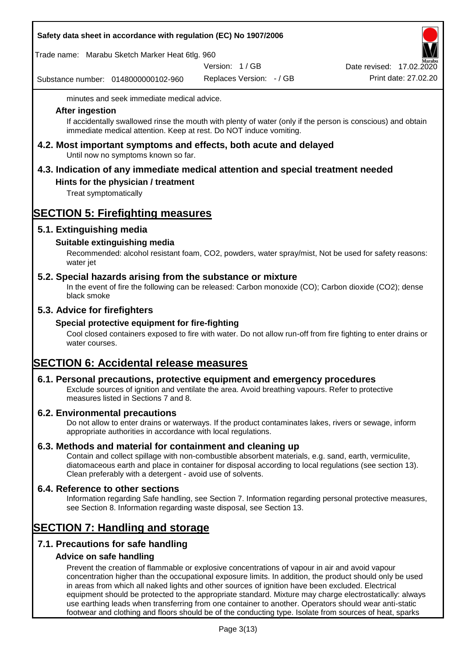| Safety data sheet in accordance with regulation (EC) No 1907/2006 |  |
|-------------------------------------------------------------------|--|
|-------------------------------------------------------------------|--|

Trade name: Marabu Sketch Marker Heat 6tlg. 960

Version: 1 / GB

Substance number: 0148000000102-960

Replaces Version: - / GB Print date: 27.02.20 Date revised: 17.02.2020

minutes and seek immediate medical advice.

### **After ingestion**

If accidentally swallowed rinse the mouth with plenty of water (only if the person is conscious) and obtain immediate medical attention. Keep at rest. Do NOT induce vomiting.

**4.2. Most important symptoms and effects, both acute and delayed** Until now no symptoms known so far.

# **4.3. Indication of any immediate medical attention and special treatment needed**

# **Hints for the physician / treatment**

Treat symptomatically

# **SECTION 5: Firefighting measures**

# **5.1. Extinguishing media**

# **Suitable extinguishing media**

Recommended: alcohol resistant foam, CO2, powders, water spray/mist, Not be used for safety reasons: water jet

## **5.2. Special hazards arising from the substance or mixture**

In the event of fire the following can be released: Carbon monoxide (CO); Carbon dioxide (CO2); dense black smoke

# **5.3. Advice for firefighters**

## **Special protective equipment for fire-fighting**

Cool closed containers exposed to fire with water. Do not allow run-off from fire fighting to enter drains or water courses.

# **SECTION 6: Accidental release measures**

## **6.1. Personal precautions, protective equipment and emergency procedures**

Exclude sources of ignition and ventilate the area. Avoid breathing vapours. Refer to protective measures listed in Sections 7 and 8.

## **6.2. Environmental precautions**

Do not allow to enter drains or waterways. If the product contaminates lakes, rivers or sewage, inform appropriate authorities in accordance with local regulations.

## **6.3. Methods and material for containment and cleaning up**

Contain and collect spillage with non-combustible absorbent materials, e.g. sand, earth, vermiculite, diatomaceous earth and place in container for disposal according to local regulations (see section 13). Clean preferably with a detergent - avoid use of solvents.

## **6.4. Reference to other sections**

Information regarding Safe handling, see Section 7. Information regarding personal protective measures, see Section 8. Information regarding waste disposal, see Section 13.

# **SECTION 7: Handling and storage**

# **7.1. Precautions for safe handling**

## **Advice on safe handling**

Prevent the creation of flammable or explosive concentrations of vapour in air and avoid vapour concentration higher than the occupational exposure limits. In addition, the product should only be used in areas from which all naked lights and other sources of ignition have been excluded. Electrical equipment should be protected to the appropriate standard. Mixture may charge electrostatically: always use earthing leads when transferring from one container to another. Operators should wear anti-static footwear and clothing and floors should be of the conducting type. Isolate from sources of heat, sparks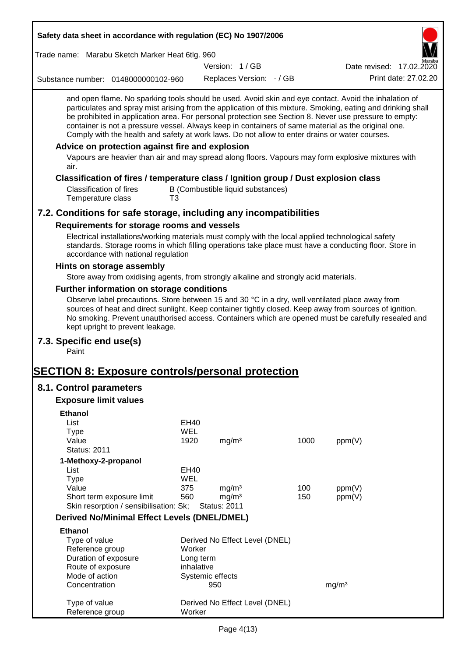| Safety data sheet in accordance with regulation (EC) No 1907/2006                                                                                                                                                                                                                                                                                                                                                                                                                                                                                                                                                                                                                                 |                   |                     |                                   |      |                          |                      |
|---------------------------------------------------------------------------------------------------------------------------------------------------------------------------------------------------------------------------------------------------------------------------------------------------------------------------------------------------------------------------------------------------------------------------------------------------------------------------------------------------------------------------------------------------------------------------------------------------------------------------------------------------------------------------------------------------|-------------------|---------------------|-----------------------------------|------|--------------------------|----------------------|
| Trade name: Marabu Sketch Marker Heat 6tlg. 960                                                                                                                                                                                                                                                                                                                                                                                                                                                                                                                                                                                                                                                   |                   |                     |                                   |      |                          |                      |
|                                                                                                                                                                                                                                                                                                                                                                                                                                                                                                                                                                                                                                                                                                   |                   | Version: 1/GB       |                                   |      | Date revised: 17.02.2020 |                      |
| Substance number: 0148000000102-960                                                                                                                                                                                                                                                                                                                                                                                                                                                                                                                                                                                                                                                               |                   |                     | Replaces Version: - / GB          |      |                          | Print date: 27.02.20 |
| and open flame. No sparking tools should be used. Avoid skin and eye contact. Avoid the inhalation of<br>particulates and spray mist arising from the application of this mixture. Smoking, eating and drinking shall<br>be prohibited in application area. For personal protection see Section 8. Never use pressure to empty:<br>container is not a pressure vessel. Always keep in containers of same material as the original one.<br>Comply with the health and safety at work laws. Do not allow to enter drains or water courses.<br>Advice on protection against fire and explosion<br>Vapours are heavier than air and may spread along floors. Vapours may form explosive mixtures with |                   |                     |                                   |      |                          |                      |
| air.                                                                                                                                                                                                                                                                                                                                                                                                                                                                                                                                                                                                                                                                                              |                   |                     |                                   |      |                          |                      |
| Classification of fires / temperature class / Ignition group / Dust explosion class<br><b>Classification of fires</b><br>Temperature class<br>T3                                                                                                                                                                                                                                                                                                                                                                                                                                                                                                                                                  |                   |                     | B (Combustible liquid substances) |      |                          |                      |
| 7.2. Conditions for safe storage, including any incompatibilities                                                                                                                                                                                                                                                                                                                                                                                                                                                                                                                                                                                                                                 |                   |                     |                                   |      |                          |                      |
| Requirements for storage rooms and vessels                                                                                                                                                                                                                                                                                                                                                                                                                                                                                                                                                                                                                                                        |                   |                     |                                   |      |                          |                      |
| Electrical installations/working materials must comply with the local applied technological safety<br>standards. Storage rooms in which filling operations take place must have a conducting floor. Store in<br>accordance with national regulation                                                                                                                                                                                                                                                                                                                                                                                                                                               |                   |                     |                                   |      |                          |                      |
| Hints on storage assembly                                                                                                                                                                                                                                                                                                                                                                                                                                                                                                                                                                                                                                                                         |                   |                     |                                   |      |                          |                      |
| Store away from oxidising agents, from strongly alkaline and strongly acid materials.                                                                                                                                                                                                                                                                                                                                                                                                                                                                                                                                                                                                             |                   |                     |                                   |      |                          |                      |
| Further information on storage conditions                                                                                                                                                                                                                                                                                                                                                                                                                                                                                                                                                                                                                                                         |                   |                     |                                   |      |                          |                      |
| Observe label precautions. Store between 15 and 30 °C in a dry, well ventilated place away from<br>sources of heat and direct sunlight. Keep container tightly closed. Keep away from sources of ignition.<br>No smoking. Prevent unauthorised access. Containers which are opened must be carefully resealed and<br>kept upright to prevent leakage.                                                                                                                                                                                                                                                                                                                                             |                   |                     |                                   |      |                          |                      |
| 7.3. Specific end use(s)<br>Paint                                                                                                                                                                                                                                                                                                                                                                                                                                                                                                                                                                                                                                                                 |                   |                     |                                   |      |                          |                      |
| <u> SECTION 8: Exposure controls/personal protection</u>                                                                                                                                                                                                                                                                                                                                                                                                                                                                                                                                                                                                                                          |                   |                     |                                   |      |                          |                      |
| 8.1. Control parameters                                                                                                                                                                                                                                                                                                                                                                                                                                                                                                                                                                                                                                                                           |                   |                     |                                   |      |                          |                      |
| <b>Exposure limit values</b>                                                                                                                                                                                                                                                                                                                                                                                                                                                                                                                                                                                                                                                                      |                   |                     |                                   |      |                          |                      |
|                                                                                                                                                                                                                                                                                                                                                                                                                                                                                                                                                                                                                                                                                                   |                   |                     |                                   |      |                          |                      |
| <b>Ethanol</b><br>List                                                                                                                                                                                                                                                                                                                                                                                                                                                                                                                                                                                                                                                                            | EH40              |                     |                                   |      |                          |                      |
| <b>Type</b>                                                                                                                                                                                                                                                                                                                                                                                                                                                                                                                                                                                                                                                                                       | WEL               |                     |                                   |      |                          |                      |
| Value                                                                                                                                                                                                                                                                                                                                                                                                                                                                                                                                                                                                                                                                                             | 1920              | mg/m <sup>3</sup>   |                                   | 1000 | ppm(V)                   |                      |
| <b>Status: 2011</b>                                                                                                                                                                                                                                                                                                                                                                                                                                                                                                                                                                                                                                                                               |                   |                     |                                   |      |                          |                      |
| 1-Methoxy-2-propanol                                                                                                                                                                                                                                                                                                                                                                                                                                                                                                                                                                                                                                                                              |                   |                     |                                   |      |                          |                      |
| List                                                                                                                                                                                                                                                                                                                                                                                                                                                                                                                                                                                                                                                                                              | EH40              |                     |                                   |      |                          |                      |
| <b>Type</b><br>Value                                                                                                                                                                                                                                                                                                                                                                                                                                                                                                                                                                                                                                                                              | <b>WEL</b><br>375 | mg/m <sup>3</sup>   |                                   | 100  | ppm(V)                   |                      |
| Short term exposure limit                                                                                                                                                                                                                                                                                                                                                                                                                                                                                                                                                                                                                                                                         | 560               | mg/m <sup>3</sup>   |                                   | 150  | ppm(V)                   |                      |
| Skin resorption / sensibilisation: Sk;                                                                                                                                                                                                                                                                                                                                                                                                                                                                                                                                                                                                                                                            |                   | <b>Status: 2011</b> |                                   |      |                          |                      |
| <b>Derived No/Minimal Effect Levels (DNEL/DMEL)</b>                                                                                                                                                                                                                                                                                                                                                                                                                                                                                                                                                                                                                                               |                   |                     |                                   |      |                          |                      |
| <b>Ethanol</b>                                                                                                                                                                                                                                                                                                                                                                                                                                                                                                                                                                                                                                                                                    |                   |                     |                                   |      |                          |                      |
| Type of value                                                                                                                                                                                                                                                                                                                                                                                                                                                                                                                                                                                                                                                                                     |                   |                     | Derived No Effect Level (DNEL)    |      |                          |                      |
| Reference group                                                                                                                                                                                                                                                                                                                                                                                                                                                                                                                                                                                                                                                                                   | Worker            |                     |                                   |      |                          |                      |
| Duration of exposure                                                                                                                                                                                                                                                                                                                                                                                                                                                                                                                                                                                                                                                                              | Long term         |                     |                                   |      |                          |                      |
| Route of exposure                                                                                                                                                                                                                                                                                                                                                                                                                                                                                                                                                                                                                                                                                 | inhalative        |                     |                                   |      |                          |                      |
| Mode of action                                                                                                                                                                                                                                                                                                                                                                                                                                                                                                                                                                                                                                                                                    |                   | Systemic effects    |                                   |      |                          |                      |
| Concentration                                                                                                                                                                                                                                                                                                                                                                                                                                                                                                                                                                                                                                                                                     |                   | 950                 |                                   |      | mg/m <sup>3</sup>        |                      |
| Type of value<br>Reference group                                                                                                                                                                                                                                                                                                                                                                                                                                                                                                                                                                                                                                                                  | Worker            |                     | Derived No Effect Level (DNEL)    |      |                          |                      |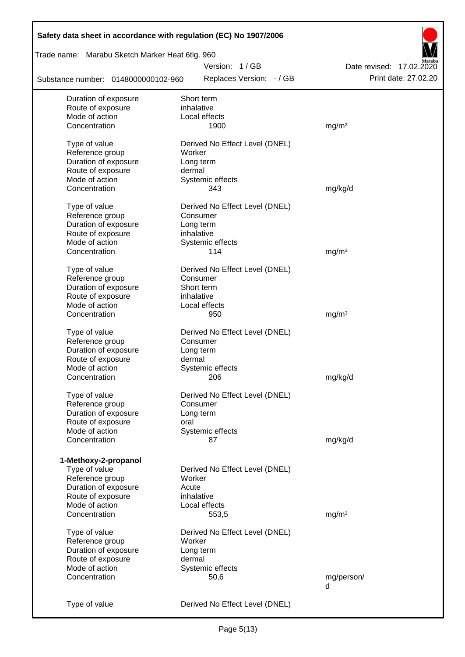| Safety data sheet in accordance with regulation (EC) No 1907/2006 |                                |                          |
|-------------------------------------------------------------------|--------------------------------|--------------------------|
| Trade name: Marabu Sketch Marker Heat 6tlg. 960                   |                                |                          |
|                                                                   | Version: 1/GB                  | Date revised: 17.02.2020 |
| Substance number: 0148000000102-960                               | Replaces Version: - / GB       | Print date: 27.02.20     |
| Duration of exposure                                              | Short term                     |                          |
| Route of exposure                                                 | inhalative                     |                          |
| Mode of action                                                    | Local effects                  |                          |
| Concentration                                                     | 1900                           | mg/m <sup>3</sup>        |
| Type of value                                                     | Derived No Effect Level (DNEL) |                          |
| Reference group                                                   | Worker                         |                          |
| Duration of exposure                                              | Long term                      |                          |
| Route of exposure                                                 | dermal                         |                          |
| Mode of action                                                    | Systemic effects               |                          |
| Concentration                                                     | 343                            | mg/kg/d                  |
|                                                                   |                                |                          |
| Type of value                                                     | Derived No Effect Level (DNEL) |                          |
| Reference group                                                   | Consumer                       |                          |
| Duration of exposure                                              | Long term                      |                          |
| Route of exposure                                                 | inhalative                     |                          |
| Mode of action                                                    | Systemic effects               |                          |
| Concentration                                                     | 114                            | mg/m <sup>3</sup>        |
| Type of value                                                     | Derived No Effect Level (DNEL) |                          |
| Reference group                                                   | Consumer                       |                          |
| Duration of exposure                                              | Short term                     |                          |
| Route of exposure                                                 | inhalative                     |                          |
| Mode of action                                                    | Local effects                  |                          |
| Concentration                                                     | 950                            |                          |
|                                                                   |                                | mg/m <sup>3</sup>        |
| Type of value                                                     | Derived No Effect Level (DNEL) |                          |
| Reference group                                                   | Consumer                       |                          |
| Duration of exposure                                              | Long term                      |                          |
| Route of exposure                                                 | dermal                         |                          |
| Mode of action                                                    | Systemic effects               |                          |
| Concentration                                                     | 206                            | mg/kg/d                  |
|                                                                   | Derived No Effect Level (DNEL) |                          |
| Type of value                                                     |                                |                          |
| Reference group                                                   | Consumer                       |                          |
| Duration of exposure                                              | Long term                      |                          |
| Route of exposure<br>Mode of action                               | oral                           |                          |
| Concentration                                                     | Systemic effects<br>87         | mg/kg/d                  |
|                                                                   |                                |                          |
| 1-Methoxy-2-propanol                                              |                                |                          |
| Type of value                                                     | Derived No Effect Level (DNEL) |                          |
| Reference group                                                   | Worker                         |                          |
| Duration of exposure                                              | Acute                          |                          |
| Route of exposure                                                 | inhalative                     |                          |
| Mode of action                                                    | Local effects                  |                          |
| Concentration                                                     | 553,5                          | mg/m <sup>3</sup>        |
|                                                                   |                                |                          |
| Type of value                                                     | Derived No Effect Level (DNEL) |                          |
| Reference group                                                   | Worker                         |                          |
| Duration of exposure                                              | Long term                      |                          |
| Route of exposure                                                 | dermal                         |                          |
| Mode of action                                                    | Systemic effects               |                          |
| Concentration                                                     | 50,6                           | mg/person/               |
|                                                                   |                                | d                        |
| Type of value                                                     | Derived No Effect Level (DNEL) |                          |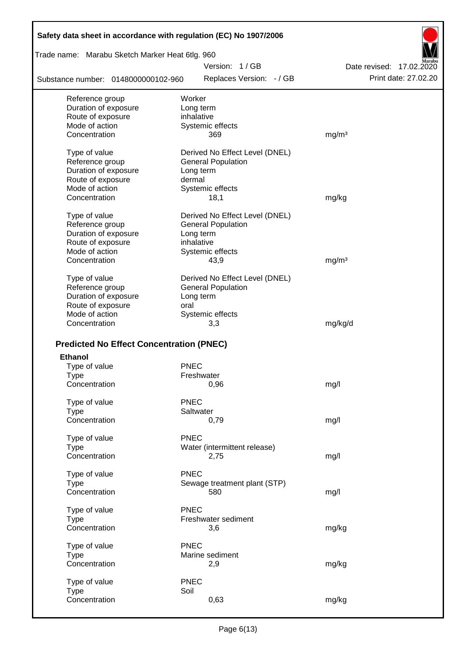| Safety data sheet in accordance with regulation (EC) No 1907/2006 |                                |                          |
|-------------------------------------------------------------------|--------------------------------|--------------------------|
| Trade name: Marabu Sketch Marker Heat 6tlg. 960                   |                                |                          |
|                                                                   | Version: 1/GB                  | Date revised: 17.02.2020 |
| Substance number: 0148000000102-960                               | Replaces Version: - / GB       | Print date: 27.02.20     |
| Reference group                                                   | Worker                         |                          |
| Duration of exposure                                              | Long term                      |                          |
| Route of exposure                                                 | inhalative                     |                          |
| Mode of action                                                    | Systemic effects               |                          |
| Concentration                                                     | 369                            | mg/m <sup>3</sup>        |
| Type of value                                                     | Derived No Effect Level (DNEL) |                          |
| Reference group                                                   | <b>General Population</b>      |                          |
| Duration of exposure                                              | Long term                      |                          |
| Route of exposure                                                 | dermal                         |                          |
| Mode of action                                                    | Systemic effects               |                          |
| Concentration                                                     | 18,1                           | mg/kg                    |
| Type of value                                                     | Derived No Effect Level (DNEL) |                          |
| Reference group                                                   | <b>General Population</b>      |                          |
| Duration of exposure                                              | Long term                      |                          |
| Route of exposure                                                 | inhalative                     |                          |
| Mode of action                                                    | Systemic effects               |                          |
| Concentration                                                     | 43,9                           | mg/m <sup>3</sup>        |
| Type of value                                                     | Derived No Effect Level (DNEL) |                          |
| Reference group                                                   | <b>General Population</b>      |                          |
| Duration of exposure                                              | Long term                      |                          |
| Route of exposure                                                 | oral                           |                          |
| Mode of action                                                    | Systemic effects               |                          |
| Concentration                                                     | 3,3                            | mg/kg/d                  |
| <b>Predicted No Effect Concentration (PNEC)</b>                   |                                |                          |
| <b>Ethanol</b>                                                    |                                |                          |
| Type of value                                                     | <b>PNEC</b>                    |                          |
| <b>Type</b>                                                       | Freshwater                     |                          |
| Concentration                                                     | 0,96                           | mg/l                     |
| Type of value                                                     | <b>PNEC</b>                    |                          |
| <b>Type</b>                                                       | Saltwater                      |                          |
| Concentration                                                     | 0,79                           | mg/l                     |
| Type of value                                                     | PNEC                           |                          |
| <b>Type</b>                                                       | Water (intermittent release)   |                          |
| Concentration                                                     | 2,75                           | mg/l                     |
| Type of value                                                     | <b>PNEC</b>                    |                          |
| <b>Type</b>                                                       | Sewage treatment plant (STP)   |                          |
| Concentration                                                     | 580                            | mg/l                     |
| Type of value                                                     | <b>PNEC</b>                    |                          |
| <b>Type</b>                                                       | Freshwater sediment            |                          |
| Concentration                                                     | 3,6                            | mg/kg                    |
| Type of value                                                     | <b>PNEC</b>                    |                          |
| <b>Type</b>                                                       | Marine sediment                |                          |
| Concentration                                                     | 2,9                            | mg/kg                    |
|                                                                   |                                |                          |
| Type of value                                                     | <b>PNEC</b>                    |                          |
| <b>Type</b>                                                       | Soil                           |                          |
| Concentration                                                     | 0,63                           | mg/kg                    |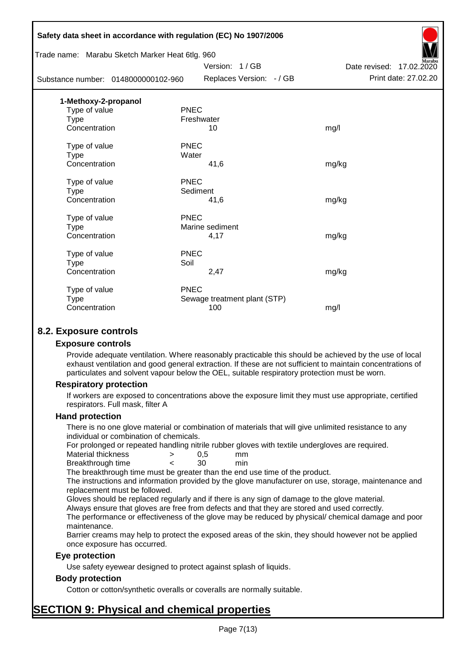|                                                 | Safety data sheet in accordance with regulation (EC) No 1907/2006 |                             |
|-------------------------------------------------|-------------------------------------------------------------------|-----------------------------|
| Trade name: Marabu Sketch Marker Heat 6tlg. 960 |                                                                   |                             |
|                                                 | Version: 1/GB                                                     | Date revised:<br>17.02.2020 |
| Substance number: 0148000000102-960             | Replaces Version: - / GB                                          | Print date: 27.02.20        |
| 1-Methoxy-2-propanol                            |                                                                   |                             |
| Type of value                                   | <b>PNEC</b>                                                       |                             |
| <b>Type</b>                                     | Freshwater                                                        |                             |
| Concentration                                   | 10                                                                | mg/l                        |
| Type of value                                   | <b>PNEC</b>                                                       |                             |
| <b>Type</b>                                     | Water                                                             |                             |
| Concentration                                   | 41,6                                                              | mg/kg                       |
| Type of value                                   | PNEC                                                              |                             |
| Type                                            | Sediment                                                          |                             |
| Concentration                                   | 41,6                                                              | mg/kg                       |
| Type of value                                   | <b>PNEC</b>                                                       |                             |
| <b>Type</b>                                     | Marine sediment                                                   |                             |
| Concentration                                   | 4,17                                                              | mg/kg                       |
| Type of value                                   | <b>PNEC</b>                                                       |                             |
| <b>Type</b>                                     | Soil                                                              |                             |
| Concentration                                   | 2,47                                                              | mg/kg                       |
| Type of value                                   | <b>PNEC</b>                                                       |                             |
| <b>Type</b>                                     | Sewage treatment plant (STP)                                      |                             |
| Concentration                                   | 100                                                               | mg/l                        |
|                                                 |                                                                   |                             |

# **8.2. Exposure controls**

## **Exposure controls**

Provide adequate ventilation. Where reasonably practicable this should be achieved by the use of local exhaust ventilation and good general extraction. If these are not sufficient to maintain concentrations of particulates and solvent vapour below the OEL, suitable respiratory protection must be worn.

## **Respiratory protection**

If workers are exposed to concentrations above the exposure limit they must use appropriate, certified respirators. Full mask, filter A

#### **Hand protection**

There is no one glove material or combination of materials that will give unlimited resistance to any individual or combination of chemicals.

For prolonged or repeated handling nitrile rubber gloves with textile undergloves are required.

| Material thickness | 0.5 | mm  |
|--------------------|-----|-----|
| Breakthrough time  | 30  | min |

The breakthrough time must be greater than the end use time of the product.

The instructions and information provided by the glove manufacturer on use, storage, maintenance and replacement must be followed.

Gloves should be replaced regularly and if there is any sign of damage to the glove material.

Always ensure that gloves are free from defects and that they are stored and used correctly.

The performance or effectiveness of the glove may be reduced by physical/ chemical damage and poor maintenance.

Barrier creams may help to protect the exposed areas of the skin, they should however not be applied once exposure has occurred.

## **Eye protection**

Use safety eyewear designed to protect against splash of liquids.

## **Body protection**

Cotton or cotton/synthetic overalls or coveralls are normally suitable.

# **SECTION 9: Physical and chemical properties**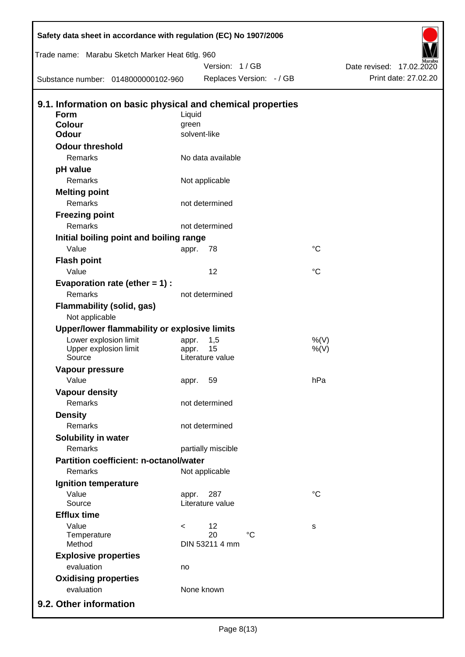| Safety data sheet in accordance with regulation (EC) No 1907/2006 |         |                        |                          |             |                             |
|-------------------------------------------------------------------|---------|------------------------|--------------------------|-------------|-----------------------------|
| Trade name: Marabu Sketch Marker Heat 6tlg. 960                   |         |                        |                          |             |                             |
|                                                                   |         | Version: 1/GB          |                          |             | 17.02.2020<br>Date revised: |
| Substance number: 0148000000102-960                               |         |                        | Replaces Version: - / GB |             | Print date: 27.02.20        |
| 9.1. Information on basic physical and chemical properties        |         |                        |                          |             |                             |
| <b>Form</b>                                                       | Liquid  |                        |                          |             |                             |
| <b>Colour</b>                                                     | green   |                        |                          |             |                             |
| <b>Odour</b>                                                      |         | solvent-like           |                          |             |                             |
| <b>Odour threshold</b>                                            |         |                        |                          |             |                             |
| Remarks                                                           |         | No data available      |                          |             |                             |
| pH value                                                          |         |                        |                          |             |                             |
| Remarks                                                           |         | Not applicable         |                          |             |                             |
| <b>Melting point</b>                                              |         |                        |                          |             |                             |
| Remarks                                                           |         | not determined         |                          |             |                             |
| <b>Freezing point</b>                                             |         |                        |                          |             |                             |
| Remarks                                                           |         | not determined         |                          |             |                             |
| Initial boiling point and boiling range                           |         |                        |                          |             |                             |
| Value                                                             | appr.   | 78                     |                          | $^{\circ}C$ |                             |
| <b>Flash point</b>                                                |         |                        |                          |             |                             |
| Value                                                             |         | 12                     |                          | $^{\circ}C$ |                             |
| Evaporation rate (ether $= 1$ ) :                                 |         |                        |                          |             |                             |
| Remarks                                                           |         | not determined         |                          |             |                             |
| <b>Flammability (solid, gas)</b>                                  |         |                        |                          |             |                             |
| Not applicable                                                    |         |                        |                          |             |                             |
| Upper/lower flammability or explosive limits                      |         |                        |                          |             |                             |
| Lower explosion limit                                             | appr.   | 1,5                    |                          | $%$ (V)     |                             |
| Upper explosion limit<br>Source                                   | appr.   | 15<br>Literature value |                          | $%$ (V)     |                             |
| Vapour pressure                                                   |         |                        |                          |             |                             |
| Value                                                             |         | 59                     |                          | hPa         |                             |
| <b>Vapour density</b>                                             | appr.   |                        |                          |             |                             |
| <b>Remarks</b>                                                    |         | not determined         |                          |             |                             |
| <b>Density</b>                                                    |         |                        |                          |             |                             |
| Remarks                                                           |         | not determined         |                          |             |                             |
| Solubility in water                                               |         |                        |                          |             |                             |
| Remarks                                                           |         | partially miscible     |                          |             |                             |
| <b>Partition coefficient: n-octanol/water</b>                     |         |                        |                          |             |                             |
| Remarks                                                           |         | Not applicable         |                          |             |                             |
| Ignition temperature                                              |         |                        |                          |             |                             |
| Value                                                             | appr.   | 287                    |                          | $^{\circ}C$ |                             |
| Source                                                            |         | Literature value       |                          |             |                             |
| <b>Efflux time</b>                                                |         |                        |                          |             |                             |
| Value                                                             | $\,<\,$ | 12                     |                          | s           |                             |
| Temperature                                                       |         | 20                     | $\rm ^{\circ}C$          |             |                             |
| Method                                                            |         | DIN 53211 4 mm         |                          |             |                             |
| <b>Explosive properties</b>                                       |         |                        |                          |             |                             |
| evaluation                                                        | no      |                        |                          |             |                             |
| <b>Oxidising properties</b>                                       |         |                        |                          |             |                             |
| evaluation                                                        |         | None known             |                          |             |                             |
| 9.2. Other information                                            |         |                        |                          |             |                             |

D

 $\mathbf I$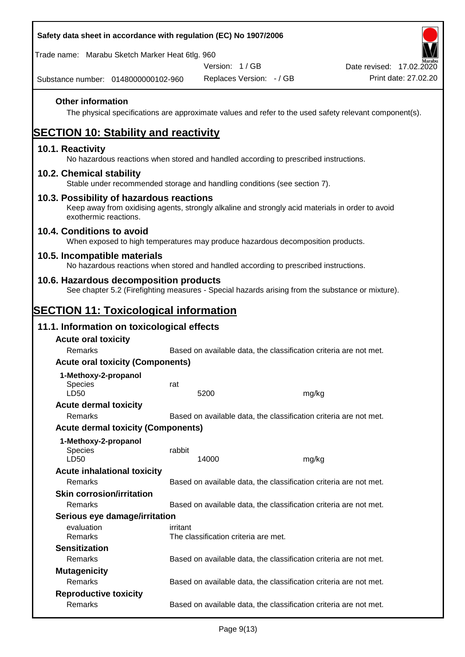| Safety data sheet in accordance with regulation (EC) No 1907/2006                                                                                                     |          |                                      |                          |                                                                                                        |
|-----------------------------------------------------------------------------------------------------------------------------------------------------------------------|----------|--------------------------------------|--------------------------|--------------------------------------------------------------------------------------------------------|
| Trade name: Marabu Sketch Marker Heat 6tlg. 960                                                                                                                       |          |                                      |                          |                                                                                                        |
|                                                                                                                                                                       |          | Version: 1/GB                        |                          | Date revised: 17.02.2020                                                                               |
| Substance number: 0148000000102-960                                                                                                                                   |          |                                      | Replaces Version: - / GB | Print date: 27.02.20                                                                                   |
| <b>Other information</b>                                                                                                                                              |          |                                      |                          | The physical specifications are approximate values and refer to the used safety relevant component(s). |
| <b>SECTION 10: Stability and reactivity</b>                                                                                                                           |          |                                      |                          |                                                                                                        |
| 10.1. Reactivity<br>No hazardous reactions when stored and handled according to prescribed instructions.                                                              |          |                                      |                          |                                                                                                        |
| 10.2. Chemical stability<br>Stable under recommended storage and handling conditions (see section 7).                                                                 |          |                                      |                          |                                                                                                        |
| 10.3. Possibility of hazardous reactions<br>Keep away from oxidising agents, strongly alkaline and strongly acid materials in order to avoid<br>exothermic reactions. |          |                                      |                          |                                                                                                        |
| 10.4. Conditions to avoid<br>When exposed to high temperatures may produce hazardous decomposition products.                                                          |          |                                      |                          |                                                                                                        |
| 10.5. Incompatible materials<br>No hazardous reactions when stored and handled according to prescribed instructions.                                                  |          |                                      |                          |                                                                                                        |
| 10.6. Hazardous decomposition products                                                                                                                                |          |                                      |                          | See chapter 5.2 (Firefighting measures - Special hazards arising from the substance or mixture).       |
| <b>SECTION 11: Toxicological information</b>                                                                                                                          |          |                                      |                          |                                                                                                        |
| 11.1. Information on toxicological effects                                                                                                                            |          |                                      |                          |                                                                                                        |
| <b>Acute oral toxicity</b>                                                                                                                                            |          |                                      |                          |                                                                                                        |
| Remarks                                                                                                                                                               |          |                                      |                          | Based on available data, the classification criteria are not met.                                      |
| <b>Acute oral toxicity (Components)</b>                                                                                                                               |          |                                      |                          |                                                                                                        |
| 1-Methoxy-2-propanol                                                                                                                                                  |          |                                      |                          |                                                                                                        |
| <b>Species</b>                                                                                                                                                        | rat      |                                      |                          |                                                                                                        |
| LD50                                                                                                                                                                  |          | 5200                                 |                          | mg/kg                                                                                                  |
| <b>Acute dermal toxicity</b><br>Remarks                                                                                                                               |          |                                      |                          | Based on available data, the classification criteria are not met.                                      |
| <b>Acute dermal toxicity (Components)</b>                                                                                                                             |          |                                      |                          |                                                                                                        |
|                                                                                                                                                                       |          |                                      |                          |                                                                                                        |
| 1-Methoxy-2-propanol<br><b>Species</b><br>LD50                                                                                                                        | rabbit   | 14000                                |                          | mg/kg                                                                                                  |
| <b>Acute inhalational toxicity</b>                                                                                                                                    |          |                                      |                          |                                                                                                        |
| Remarks                                                                                                                                                               |          |                                      |                          | Based on available data, the classification criteria are not met.                                      |
| <b>Skin corrosion/irritation</b>                                                                                                                                      |          |                                      |                          |                                                                                                        |
| Remarks                                                                                                                                                               |          |                                      |                          | Based on available data, the classification criteria are not met.                                      |
| Serious eye damage/irritation                                                                                                                                         |          |                                      |                          |                                                                                                        |
| evaluation<br>Remarks                                                                                                                                                 | irritant | The classification criteria are met. |                          |                                                                                                        |
| <b>Sensitization</b>                                                                                                                                                  |          |                                      |                          |                                                                                                        |
| Remarks                                                                                                                                                               |          |                                      |                          | Based on available data, the classification criteria are not met.                                      |
| <b>Mutagenicity</b>                                                                                                                                                   |          |                                      |                          |                                                                                                        |
| Remarks                                                                                                                                                               |          |                                      |                          | Based on available data, the classification criteria are not met.                                      |
| <b>Reproductive toxicity</b><br>Remarks                                                                                                                               |          |                                      |                          | Based on available data, the classification criteria are not met.                                      |
|                                                                                                                                                                       |          |                                      |                          |                                                                                                        |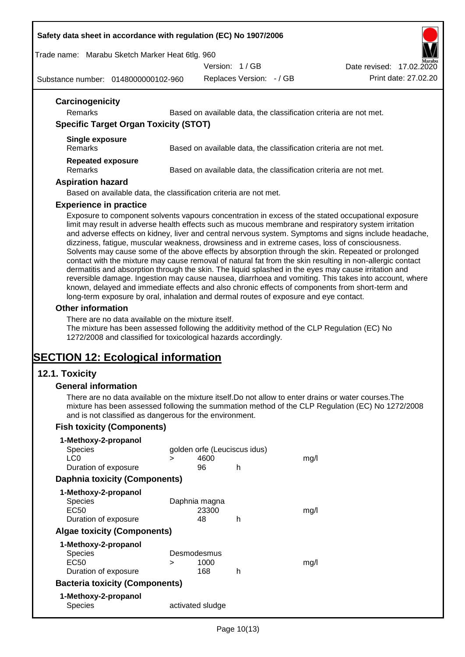#### **Safety data sheet in accordance with regulation (EC) No 1907/2006**

Trade name: Marabu Sketch Marker Heat 6tlg. 960

Version: 1 / GB

Replaces Version: - / GB Print date: 27.02.20 Date revised: 17.02.2020

Substance number: 0148000000102-960

|                                              | Based on available data, the classification criteria are not met.                                                                                                                                                                                                                                                                                                                                                                                                                                                                                                                                                                                                                                                                                                                                                                                         |
|----------------------------------------------|-----------------------------------------------------------------------------------------------------------------------------------------------------------------------------------------------------------------------------------------------------------------------------------------------------------------------------------------------------------------------------------------------------------------------------------------------------------------------------------------------------------------------------------------------------------------------------------------------------------------------------------------------------------------------------------------------------------------------------------------------------------------------------------------------------------------------------------------------------------|
| <b>Specific Target Organ Toxicity (STOT)</b> |                                                                                                                                                                                                                                                                                                                                                                                                                                                                                                                                                                                                                                                                                                                                                                                                                                                           |
| <b>Single exposure</b>                       |                                                                                                                                                                                                                                                                                                                                                                                                                                                                                                                                                                                                                                                                                                                                                                                                                                                           |
| Remarks                                      | Based on available data, the classification criteria are not met.                                                                                                                                                                                                                                                                                                                                                                                                                                                                                                                                                                                                                                                                                                                                                                                         |
| <b>Repeated exposure</b>                     |                                                                                                                                                                                                                                                                                                                                                                                                                                                                                                                                                                                                                                                                                                                                                                                                                                                           |
| Remarks                                      | Based on available data, the classification criteria are not met.                                                                                                                                                                                                                                                                                                                                                                                                                                                                                                                                                                                                                                                                                                                                                                                         |
| <b>Aspiration hazard</b>                     |                                                                                                                                                                                                                                                                                                                                                                                                                                                                                                                                                                                                                                                                                                                                                                                                                                                           |
|                                              | Based on available data, the classification criteria are not met.                                                                                                                                                                                                                                                                                                                                                                                                                                                                                                                                                                                                                                                                                                                                                                                         |
| <b>Experience in practice</b>                |                                                                                                                                                                                                                                                                                                                                                                                                                                                                                                                                                                                                                                                                                                                                                                                                                                                           |
|                                              | Exposure to component solvents vapours concentration in excess of the stated occupational exposure<br>limit may result in adverse health effects such as mucous membrane and respiratory system irritation<br>and adverse effects on kidney, liver and central nervous system. Symptoms and signs include headache,<br>dizziness, fatigue, muscular weakness, drowsiness and in extreme cases, loss of consciousness.<br>Solvents may cause some of the above effects by absorption through the skin. Repeated or prolonged<br>contact with the mixture may cause removal of natural fat from the skin resulting in non-allergic contact<br>dermatitis and absorption through the skin. The liquid splashed in the eyes may cause irritation and<br>reversible damage. Ingestion may cause nausea, diarrhoea and vomiting. This takes into account, where |
|                                              | known, delayed and immediate effects and also chronic effects of components from short-term and<br>long-term exposure by oral, inhalation and dermal routes of exposure and eye contact.                                                                                                                                                                                                                                                                                                                                                                                                                                                                                                                                                                                                                                                                  |
| <b>Other information</b>                     |                                                                                                                                                                                                                                                                                                                                                                                                                                                                                                                                                                                                                                                                                                                                                                                                                                                           |

# **12.1. Toxicity**

## **General information**

There are no data available on the mixture itself.Do not allow to enter drains or water courses.The mixture has been assessed following the summation method of the CLP Regulation (EC) No 1272/2008 and is not classified as dangerous for the environment.

# **Fish toxicity (Components)**

| 1-Methoxy-2-propanol                  |   |                              |   |      |
|---------------------------------------|---|------------------------------|---|------|
| <b>Species</b>                        |   | golden orfe (Leuciscus idus) |   |      |
| LC0                                   | ⋗ | 4600                         |   | mq/l |
| Duration of exposure                  |   | 96                           | h |      |
| <b>Daphnia toxicity (Components)</b>  |   |                              |   |      |
| 1-Methoxy-2-propanol                  |   |                              |   |      |
| <b>Species</b>                        |   | Daphnia magna                |   |      |
| EC50                                  |   | 23300                        |   | mq/l |
| Duration of exposure                  |   | 48                           | h |      |
| <b>Algae toxicity (Components)</b>    |   |                              |   |      |
| 1-Methoxy-2-propanol                  |   |                              |   |      |
| <b>Species</b>                        |   | Desmodesmus                  |   |      |
| EC50                                  | > | 1000                         |   | mq/l |
| Duration of exposure                  |   | 168                          | h |      |
| <b>Bacteria toxicity (Components)</b> |   |                              |   |      |
| 1-Methoxy-2-propanol                  |   |                              |   |      |
| Species                               |   | activated sludge             |   |      |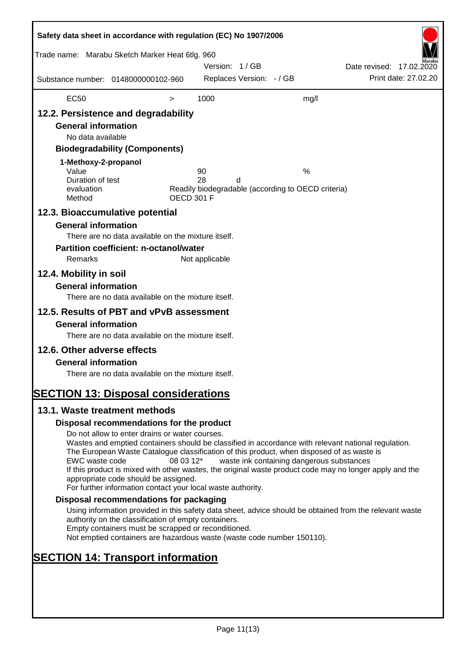| Safety data sheet in accordance with regulation (EC) No 1907/2006                                                                                                                                                                                                                                                                                                                                                                                                                                                                               |                                                                                                                                                                                                                                                                                                                                                                                                                                                                                                                                                                                                                                                                                                                                                                                                                                                                                                                                                                                        |                                |                            |   |                                                                                                      |                          |                      |
|-------------------------------------------------------------------------------------------------------------------------------------------------------------------------------------------------------------------------------------------------------------------------------------------------------------------------------------------------------------------------------------------------------------------------------------------------------------------------------------------------------------------------------------------------|----------------------------------------------------------------------------------------------------------------------------------------------------------------------------------------------------------------------------------------------------------------------------------------------------------------------------------------------------------------------------------------------------------------------------------------------------------------------------------------------------------------------------------------------------------------------------------------------------------------------------------------------------------------------------------------------------------------------------------------------------------------------------------------------------------------------------------------------------------------------------------------------------------------------------------------------------------------------------------------|--------------------------------|----------------------------|---|------------------------------------------------------------------------------------------------------|--------------------------|----------------------|
| Trade name: Marabu Sketch Marker Heat 6tlg. 960                                                                                                                                                                                                                                                                                                                                                                                                                                                                                                 |                                                                                                                                                                                                                                                                                                                                                                                                                                                                                                                                                                                                                                                                                                                                                                                                                                                                                                                                                                                        |                                | Version: 1/GB              |   |                                                                                                      | Date revised: 17.02.2020 |                      |
| Substance number: 0148000000102-960                                                                                                                                                                                                                                                                                                                                                                                                                                                                                                             |                                                                                                                                                                                                                                                                                                                                                                                                                                                                                                                                                                                                                                                                                                                                                                                                                                                                                                                                                                                        |                                | Replaces Version: - / GB   |   |                                                                                                      |                          | Print date: 27.02.20 |
| <b>EC50</b>                                                                                                                                                                                                                                                                                                                                                                                                                                                                                                                                     |                                                                                                                                                                                                                                                                                                                                                                                                                                                                                                                                                                                                                                                                                                                                                                                                                                                                                                                                                                                        | $\, > \,$                      | 1000                       |   | mg/l                                                                                                 |                          |                      |
| 12.2. Persistence and degradability<br><b>General information</b><br>No data available<br>1-Methoxy-2-propanol<br>Value<br>Duration of test<br>evaluation<br>Method<br>12.3. Bioaccumulative potential<br><b>General information</b><br>Remarks<br>12.4. Mobility in soil<br><b>General information</b><br>12.5. Results of PBT and vPvB assessment<br><b>General information</b><br>12.6. Other adverse effects<br><b>General information</b><br><b>SECTION 13: Disposal considerations</b><br>13.1. Waste treatment methods<br>EWC waste code | <b>Biodegradability (Components)</b><br>There are no data available on the mixture itself.<br><b>Partition coefficient: n-octanol/water</b><br>There are no data available on the mixture itself.<br>There are no data available on the mixture itself.<br>There are no data available on the mixture itself.<br>Disposal recommendations for the product<br>Do not allow to enter drains or water courses.<br>Wastes and emptied containers should be classified in accordance with relevant national regulation.<br>The European Waste Catalogue classification of this product, when disposed of as waste is<br>If this product is mixed with other wastes, the original waste product code may no longer apply and the<br>appropriate code should be assigned.<br>For further information contact your local waste authority.<br>Disposal recommendations for packaging<br>Using information provided in this safety data sheet, advice should be obtained from the relevant waste | <b>OECD 301 F</b><br>08 03 12* | 90<br>28<br>Not applicable | d | %<br>Readily biodegradable (according to OECD criteria)<br>waste ink containing dangerous substances |                          |                      |
|                                                                                                                                                                                                                                                                                                                                                                                                                                                                                                                                                 | authority on the classification of empty containers.<br>Empty containers must be scrapped or reconditioned.                                                                                                                                                                                                                                                                                                                                                                                                                                                                                                                                                                                                                                                                                                                                                                                                                                                                            |                                |                            |   |                                                                                                      |                          |                      |
| <b>SECTION 14: Transport information</b>                                                                                                                                                                                                                                                                                                                                                                                                                                                                                                        | Not emptied containers are hazardous waste (waste code number 150110).                                                                                                                                                                                                                                                                                                                                                                                                                                                                                                                                                                                                                                                                                                                                                                                                                                                                                                                 |                                |                            |   |                                                                                                      |                          |                      |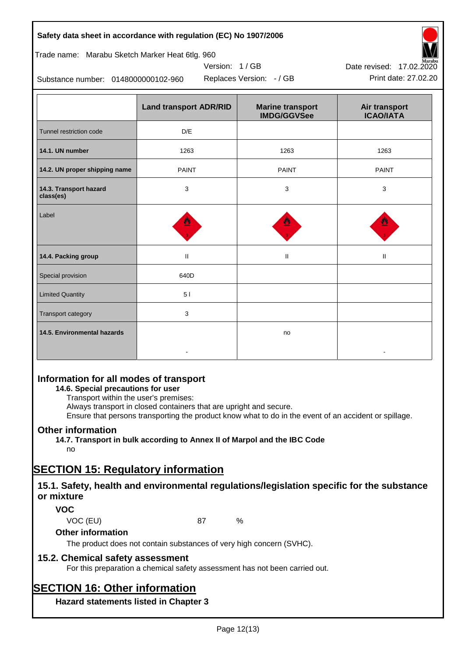## **Safety data sheet in accordance with regulation (EC) No 1907/2006**

# Trade name: Marabu Sketch Marker Heat 6tlg. 960

Substance number: 0148000000102-960

|                                     | <b>Land transport ADR/RID</b> | <b>Marine transport</b><br><b>IMDG/GGVSee</b> | Air transport<br><b>ICAO/IATA</b> |
|-------------------------------------|-------------------------------|-----------------------------------------------|-----------------------------------|
| Tunnel restriction code             | D/E                           |                                               |                                   |
| 14.1. UN number                     | 1263                          | 1263                                          | 1263                              |
| 14.2. UN proper shipping name       | <b>PAINT</b>                  | <b>PAINT</b>                                  | <b>PAINT</b>                      |
| 14.3. Transport hazard<br>class(es) | $\mathbf{3}$                  | 3                                             | 3                                 |
| Label                               | Ξ                             |                                               |                                   |
| 14.4. Packing group                 | $\ensuremath{\mathsf{II}}$    | $\mathbf{H}$                                  | $\rm H$                           |
| Special provision                   | 640D                          |                                               |                                   |
| <b>Limited Quantity</b>             | 5 <sub>1</sub>                |                                               |                                   |
| Transport category                  | $\mathbf{3}$                  |                                               |                                   |
| 14.5. Environmental hazards         |                               | no                                            |                                   |

Version: 1 / GB

# **Information for all modes of transport**

# **14.6. Special precautions for user**

Transport within the user's premises:

Always transport in closed containers that are upright and secure.

Ensure that persons transporting the product know what to do in the event of an accident or spillage.

# **Other information**

**14.7. Transport in bulk according to Annex II of Marpol and the IBC Code**

# no

# **SECTION 15: Regulatory information**

# **15.1. Safety, health and environmental regulations/legislation specific for the substance or mixture**

## **VOC**

VOC (EU) 87 %

# **Other information**

The product does not contain substances of very high concern (SVHC).

# **15.2. Chemical safety assessment**

For this preparation a chemical safety assessment has not been carried out.

# **SECTION 16: Other information**

**Hazard statements listed in Chapter 3**



Replaces Version: - / GB Print date: 27.02.20 Date revised: 17.02.2020